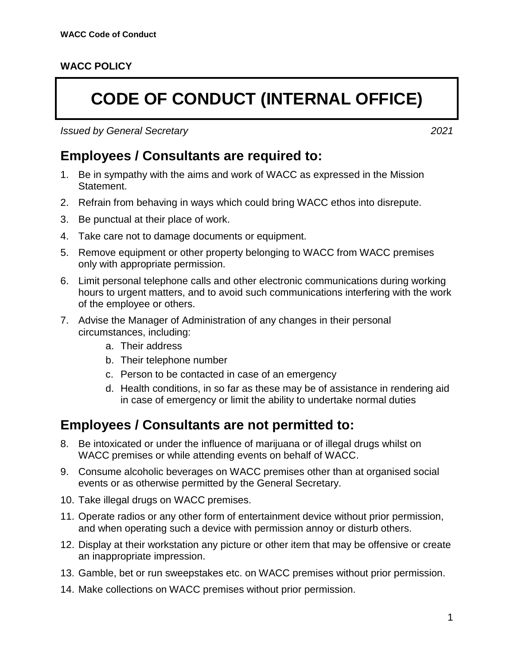## **WACC POLICY**

## **CODE OF CONDUCT (INTERNAL OFFICE)**

*Issued by General Secretary 2021*

**Employees / Consultants are required to:**

- 1. Be in sympathy with the aims and work of WACC as expressed in the Mission Statement.
- 2. Refrain from behaving in ways which could bring WACC ethos into disrepute.
- 3. Be punctual at their place of work.
- 4. Take care not to damage documents or equipment.
- 5. Remove equipment or other property belonging to WACC from WACC premises only with appropriate permission.
- 6. Limit personal telephone calls and other electronic communications during working hours to urgent matters, and to avoid such communications interfering with the work of the employee or others.
- 7. Advise the Manager of Administration of any changes in their personal circumstances, including:
	- a. Their address
	- b. Their telephone number
	- c. Person to be contacted in case of an emergency
	- d. Health conditions, in so far as these may be of assistance in rendering aid in case of emergency or limit the ability to undertake normal duties

## **Employees / Consultants are not permitted to:**

- 8. Be intoxicated or under the influence of marijuana or of illegal drugs whilst on WACC premises or while attending events on behalf of WACC.
- 9. Consume alcoholic beverages on WACC premises other than at organised social events or as otherwise permitted by the General Secretary.
- 10. Take illegal drugs on WACC premises.
- 11. Operate radios or any other form of entertainment device without prior permission, and when operating such a device with permission annoy or disturb others.
- 12. Display at their workstation any picture or other item that may be offensive or create an inappropriate impression.
- 13. Gamble, bet or run sweepstakes etc. on WACC premises without prior permission.
- 14. Make collections on WACC premises without prior permission.